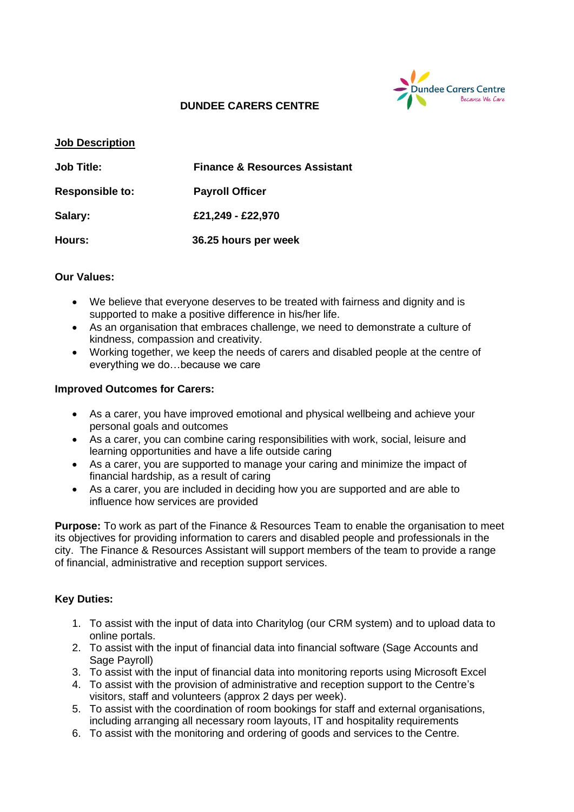

## **DUNDEE CARERS CENTRE**

#### **Job Description**

| <b>Job Title:</b>      | <b>Finance &amp; Resources Assistant</b> |  |
|------------------------|------------------------------------------|--|
| <b>Responsible to:</b> | <b>Payroll Officer</b>                   |  |
| Salary:                | £21,249 - £22,970                        |  |
| Hours:                 | 36.25 hours per week                     |  |

#### **Our Values:**

- We believe that everyone deserves to be treated with fairness and dignity and is supported to make a positive difference in his/her life.
- As an organisation that embraces challenge, we need to demonstrate a culture of kindness, compassion and creativity.
- Working together, we keep the needs of carers and disabled people at the centre of everything we do…because we care

#### **Improved Outcomes for Carers:**

- As a carer, you have improved emotional and physical wellbeing and achieve your personal goals and outcomes
- As a carer, you can combine caring responsibilities with work, social, leisure and learning opportunities and have a life outside caring
- As a carer, you are supported to manage your caring and minimize the impact of financial hardship, as a result of caring
- As a carer, you are included in deciding how you are supported and are able to influence how services are provided

**Purpose:** To work as part of the Finance & Resources Team to enable the organisation to meet its objectives for providing information to carers and disabled people and professionals in the city. The Finance & Resources Assistant will support members of the team to provide a range of financial, administrative and reception support services.

## **Key Duties:**

- 1. To assist with the input of data into Charitylog (our CRM system) and to upload data to online portals.
- 2. To assist with the input of financial data into financial software (Sage Accounts and Sage Payroll)
- 3. To assist with the input of financial data into monitoring reports using Microsoft Excel
- 4. To assist with the provision of administrative and reception support to the Centre's visitors, staff and volunteers (approx 2 days per week).
- 5. To assist with the coordination of room bookings for staff and external organisations, including arranging all necessary room layouts, IT and hospitality requirements
- 6. To assist with the monitoring and ordering of goods and services to the Centre.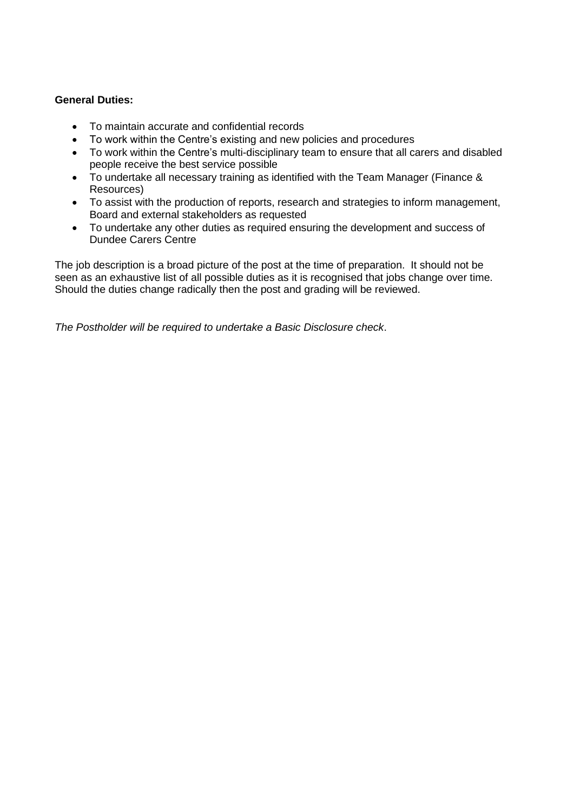## **General Duties:**

- To maintain accurate and confidential records
- To work within the Centre's existing and new policies and procedures
- To work within the Centre's multi-disciplinary team to ensure that all carers and disabled people receive the best service possible
- To undertake all necessary training as identified with the Team Manager (Finance & Resources)
- To assist with the production of reports, research and strategies to inform management, Board and external stakeholders as requested
- To undertake any other duties as required ensuring the development and success of Dundee Carers Centre

The job description is a broad picture of the post at the time of preparation. It should not be seen as an exhaustive list of all possible duties as it is recognised that jobs change over time. Should the duties change radically then the post and grading will be reviewed.

*The Postholder will be required to undertake a Basic Disclosure check*.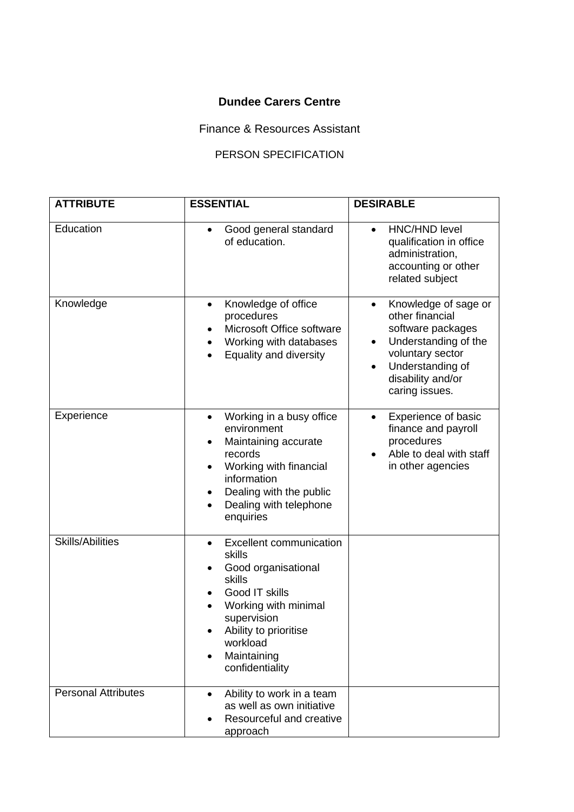# **Dundee Carers Centre**

Finance & Resources Assistant

## PERSON SPECIFICATION

| <b>ATTRIBUTE</b>           | <b>ESSENTIAL</b>                                                                                                                                                                                                                          | <b>DESIRABLE</b>                                                                                                                                                                      |
|----------------------------|-------------------------------------------------------------------------------------------------------------------------------------------------------------------------------------------------------------------------------------------|---------------------------------------------------------------------------------------------------------------------------------------------------------------------------------------|
| Education                  | Good general standard<br>$\bullet$<br>of education.                                                                                                                                                                                       | <b>HNC/HND level</b><br>qualification in office<br>administration,<br>accounting or other<br>related subject                                                                          |
| Knowledge                  | Knowledge of office<br>$\bullet$<br>procedures<br>Microsoft Office software<br>Working with databases<br>Equality and diversity                                                                                                           | Knowledge of sage or<br>$\bullet$<br>other financial<br>software packages<br>Understanding of the<br>٠<br>voluntary sector<br>Understanding of<br>disability and/or<br>caring issues. |
| Experience                 | Working in a busy office<br>$\bullet$<br>environment<br>Maintaining accurate<br>$\bullet$<br>records<br>Working with financial<br>$\bullet$<br>information<br>Dealing with the public<br>Dealing with telephone<br>$\bullet$<br>enquiries | Experience of basic<br>finance and payroll<br>procedures<br>Able to deal with staff<br>in other agencies                                                                              |
| <b>Skills/Abilities</b>    | <b>Excellent communication</b><br>$\bullet$<br>skills<br>Good organisational<br>skills<br>Good IT skills<br>Working with minimal<br>supervision<br>Ability to prioritise<br>workload<br>Maintaining<br>$\bullet$<br>confidentiality       |                                                                                                                                                                                       |
| <b>Personal Attributes</b> | Ability to work in a team<br>$\bullet$<br>as well as own initiative<br>Resourceful and creative<br>approach                                                                                                                               |                                                                                                                                                                                       |